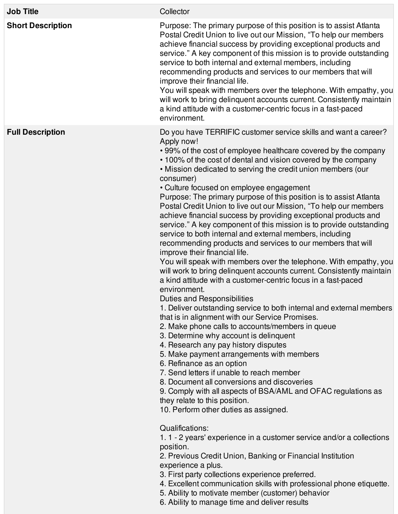| <b>Job Title</b>         | Collector                                                                                                                                                                                                                                                                                                                                                                                                                                                                                                                                                                                                                                                                                                                                                                                                                                                                                                                                                                                                                                                                                                                                                                                                                                                                                                                                                                                                                                                                                                                                                                                                                                                                                                                                                                                                                                                                                                                                                                                                                                                                         |
|--------------------------|-----------------------------------------------------------------------------------------------------------------------------------------------------------------------------------------------------------------------------------------------------------------------------------------------------------------------------------------------------------------------------------------------------------------------------------------------------------------------------------------------------------------------------------------------------------------------------------------------------------------------------------------------------------------------------------------------------------------------------------------------------------------------------------------------------------------------------------------------------------------------------------------------------------------------------------------------------------------------------------------------------------------------------------------------------------------------------------------------------------------------------------------------------------------------------------------------------------------------------------------------------------------------------------------------------------------------------------------------------------------------------------------------------------------------------------------------------------------------------------------------------------------------------------------------------------------------------------------------------------------------------------------------------------------------------------------------------------------------------------------------------------------------------------------------------------------------------------------------------------------------------------------------------------------------------------------------------------------------------------------------------------------------------------------------------------------------------------|
| <b>Short Description</b> | Purpose: The primary purpose of this position is to assist Atlanta<br>Postal Credit Union to live out our Mission, "To help our members<br>achieve financial success by providing exceptional products and<br>service." A key component of this mission is to provide outstanding<br>service to both internal and external members, including<br>recommending products and services to our members that will<br>improve their financial life.<br>You will speak with members over the telephone. With empathy, you<br>will work to bring delinquent accounts current. Consistently maintain<br>a kind attitude with a customer-centric focus in a fast-paced<br>environment.                                                                                                                                                                                                                                                                                                                                                                                                                                                                                                                                                                                                                                                                                                                                                                                                                                                                                                                                                                                                                                                                                                                                                                                                                                                                                                                                                                                                      |
| <b>Full Description</b>  | Do you have TERRIFIC customer service skills and want a career?<br>Apply now!<br>• 99% of the cost of employee healthcare covered by the company<br>• 100% of the cost of dental and vision covered by the company<br>. Mission dedicated to serving the credit union members (our<br>consumer)<br>• Culture focused on employee engagement<br>Purpose: The primary purpose of this position is to assist Atlanta<br>Postal Credit Union to live out our Mission, "To help our members<br>achieve financial success by providing exceptional products and<br>service." A key component of this mission is to provide outstanding<br>service to both internal and external members, including<br>recommending products and services to our members that will<br>improve their financial life.<br>You will speak with members over the telephone. With empathy, you<br>will work to bring delinquent accounts current. Consistently maintain<br>a kind attitude with a customer-centric focus in a fast-paced<br>environment.<br><b>Duties and Responsibilities</b><br>1. Deliver outstanding service to both internal and external members<br>that is in alignment with our Service Promises.<br>2. Make phone calls to accounts/members in queue<br>3. Determine why account is delinquent<br>4. Research any pay history disputes<br>5. Make payment arrangements with members<br>6. Refinance as an option<br>7. Send letters if unable to reach member<br>8. Document all conversions and discoveries<br>9. Comply with all aspects of BSA/AML and OFAC regulations as<br>they relate to this position.<br>10. Perform other duties as assigned.<br>Qualifications:<br>1.1 - 2 years' experience in a customer service and/or a collections<br>position.<br>2. Previous Credit Union, Banking or Financial Institution<br>experience a plus.<br>3. First party collections experience preferred.<br>4. Excellent communication skills with professional phone etiquette.<br>5. Ability to motivate member (customer) behavior<br>6. Ability to manage time and deliver results |